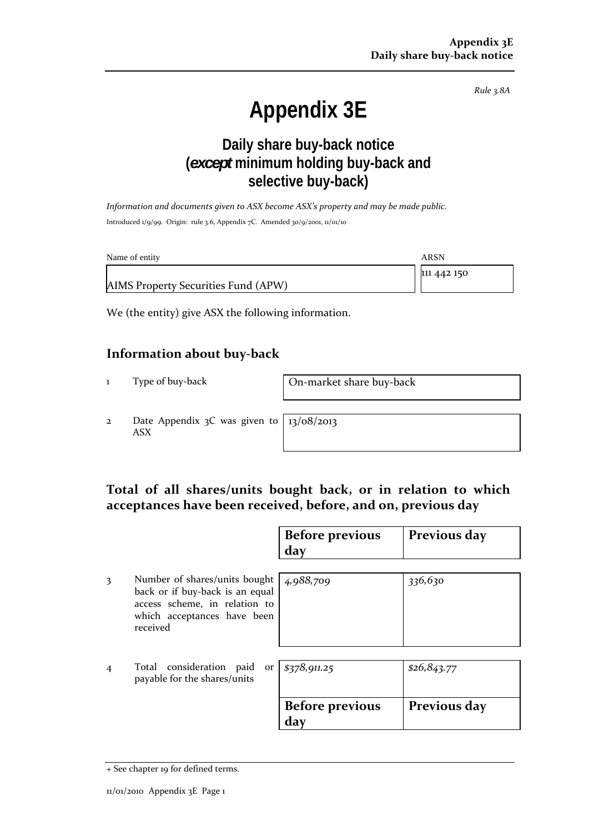*Rule 3.8A*

# **Appendix 3E**

# **Daily share buy-back notice (***except* **minimum holding buy-back and selective buy-back)**

*Information and documents given to ASX become ASX's property and may be made public.* Introduced 1/9/99. Origin: rule 3.6, Appendix 7C. Amended 30/9/2001, 11/01/10

| Name of entity                      | ARSN        |
|-------------------------------------|-------------|
|                                     | 111 442 150 |
| AIMS Property Securities Fund (APW) |             |

We (the entity) give ASX the following information.

#### **Information about buy‐back**

1 Type of buy-back **On-market share buy-back** 

2 Date Appendix 3C was given to ASX

13/08/2013

## **Total of all shares/units bought back, or in relation to which acceptances have been received, before, and on, previous day**

|                |                                                                                                                                              | <b>Before previous</b><br>day | Previous day |
|----------------|----------------------------------------------------------------------------------------------------------------------------------------------|-------------------------------|--------------|
| 3              | Number of shares/units bought<br>back or if buy-back is an equal<br>access scheme, in relation to<br>which acceptances have been<br>received | 4,988,709                     | 336,630      |
| $\overline{4}$ | Total consideration paid or<br>payable for the shares/units                                                                                  | \$378,911.25                  | \$26,843.77  |
|                |                                                                                                                                              | <b>Before previous</b><br>day | Previous day |

<sup>+</sup> See chapter 19 for defined terms.